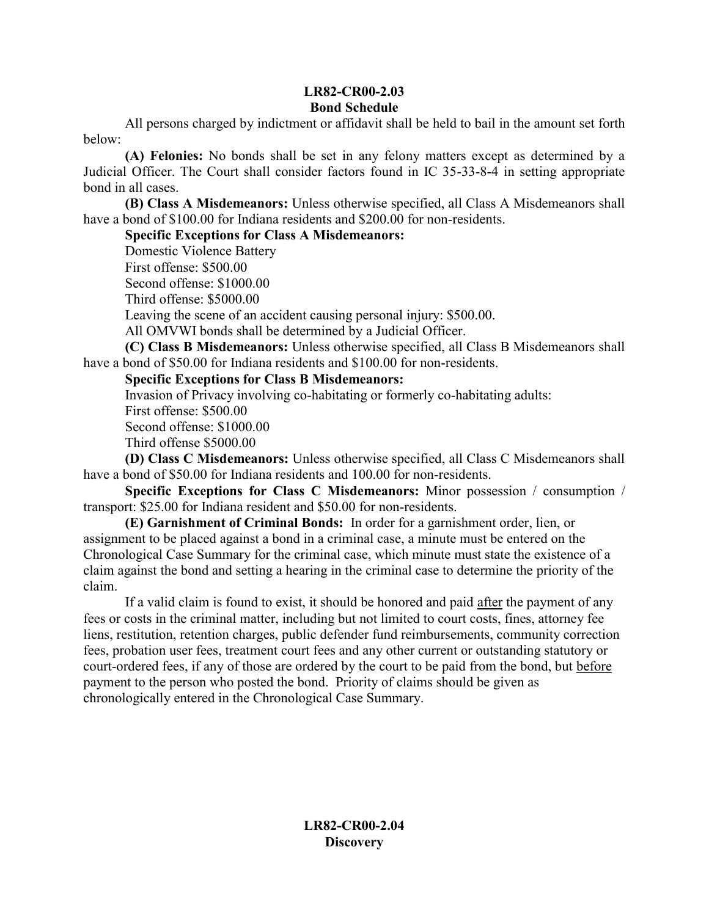## **LR82-CR00-2.03 Bond Schedule**

All persons charged by indictment or affidavit shall be held to bail in the amount set forth below:

**(A) Felonies:** No bonds shall be set in any felony matters except as determined by a Judicial Officer. The Court shall consider factors found in IC 35-33-8-4 in setting appropriate bond in all cases.

**(B) Class A Misdemeanors:** Unless otherwise specified, all Class A Misdemeanors shall have a bond of \$100.00 for Indiana residents and \$200.00 for non-residents.

## **Specific Exceptions for Class A Misdemeanors:**

Domestic Violence Battery First offense: \$500.00 Second offense: \$1000.00 Third offense: \$5000.00 Leaving the scene of an accident causing personal injury: \$500.00. All OMVWI bonds shall be determined by a Judicial Officer.

**(C) Class B Misdemeanors:** Unless otherwise specified, all Class B Misdemeanors shall have a bond of \$50.00 for Indiana residents and \$100.00 for non-residents.

## **Specific Exceptions for Class B Misdemeanors:**

Invasion of Privacy involving co-habitating or formerly co-habitating adults:

First offense: \$500.00

Second offense: \$1000.00

Third offense \$5000.00

**(D) Class C Misdemeanors:** Unless otherwise specified, all Class C Misdemeanors shall have a bond of \$50.00 for Indiana residents and 100.00 for non-residents.

**Specific Exceptions for Class C Misdemeanors:** Minor possession / consumption / transport: \$25.00 for Indiana resident and \$50.00 for non-residents.

**(E) Garnishment of Criminal Bonds:** In order for a garnishment order, lien, or assignment to be placed against a bond in a criminal case, a minute must be entered on the Chronological Case Summary for the criminal case, which minute must state the existence of a claim against the bond and setting a hearing in the criminal case to determine the priority of the claim.

If a valid claim is found to exist, it should be honored and paid after the payment of any fees or costs in the criminal matter, including but not limited to court costs, fines, attorney fee liens, restitution, retention charges, public defender fund reimbursements, community correction fees, probation user fees, treatment court fees and any other current or outstanding statutory or court-ordered fees, if any of those are ordered by the court to be paid from the bond, but before payment to the person who posted the bond. Priority of claims should be given as chronologically entered in the Chronological Case Summary.